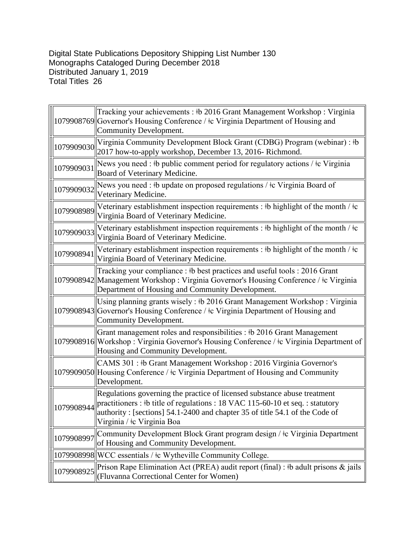Digital State Publications Depository Shipping List Number 130 Monographs Cataloged During December 2018 Distributed January 1, 2019 Total Titles 26

|            | Tracking your achievements : #b 2016 Grant Management Workshop : Virginia<br>1079908769 Governor's Housing Conference / ‡c Virginia Department of Housing and<br>Community Development.                                                                                                  |
|------------|------------------------------------------------------------------------------------------------------------------------------------------------------------------------------------------------------------------------------------------------------------------------------------------|
| 1079909030 | Virginia Community Development Block Grant (CDBG) Program (webinar) : #b<br>2017 how-to-apply workshop, December 13, 2016- Richmond.                                                                                                                                                     |
| 1079909031 | News you need : #b public comment period for regulatory actions / $\pm c$ Virginia<br>Board of Veterinary Medicine.                                                                                                                                                                      |
| 1079909032 | News you need : #b update on proposed regulations / #c Virginia Board of<br>Veterinary Medicine.                                                                                                                                                                                         |
| 1079908989 | Veterinary establishment inspection requirements : $\#$ highlight of the month / $\#$ c<br>Virginia Board of Veterinary Medicine.                                                                                                                                                        |
| 1079909033 | Veterinary establishment inspection requirements : $\#$ highlight of the month / $\#$ c<br>Virginia Board of Veterinary Medicine.                                                                                                                                                        |
| 1079908941 | Veterinary establishment inspection requirements : #b highlight of the month / $\pm c$<br>Virginia Board of Veterinary Medicine.                                                                                                                                                         |
|            | Tracking your compliance : #b best practices and useful tools : 2016 Grant<br>1079908942 Management Workshop: Virginia Governor's Housing Conference / ‡c Virginia<br>Department of Housing and Community Development.                                                                   |
|            | Using planning grants wisely: #b 2016 Grant Management Workshop: Virginia<br>1079908943 Governor's Housing Conference / ‡c Virginia Department of Housing and<br>Community Development.                                                                                                  |
|            | Grant management roles and responsibilities : #b 2016 Grant Management<br>1079908916 Workshop: Virginia Governor's Housing Conference / ‡c Virginia Department of<br>Housing and Community Development.                                                                                  |
|            | CAMS 301 : #b Grant Management Workshop : 2016 Virginia Governor's<br>1079909050 Housing Conference / ‡c Virginia Department of Housing and Community<br>Development.                                                                                                                    |
|            | Regulations governing the practice of licensed substance abuse treatment<br>1079908944 practitioners : #b title of regulations : 18 VAC 115-60-10 et seq. : statutory<br>authority: [sections] $54.1 - 2400$ and chapter 35 of title $54.1$ of the Code of<br>Virginia / ‡c Virginia Boa |
| 1079908997 | Community Development Block Grant program design / ‡c Virginia Department<br>of Housing and Community Development.                                                                                                                                                                       |
|            | 1079908998  WCC essentials / ‡c Wytheville Community College.                                                                                                                                                                                                                            |
| 1079908925 | Prison Rape Elimination Act (PREA) audit report (final) : $\frac{1}{2}$ b adult prisons & jails<br>(Fluvanna Correctional Center for Women)                                                                                                                                              |